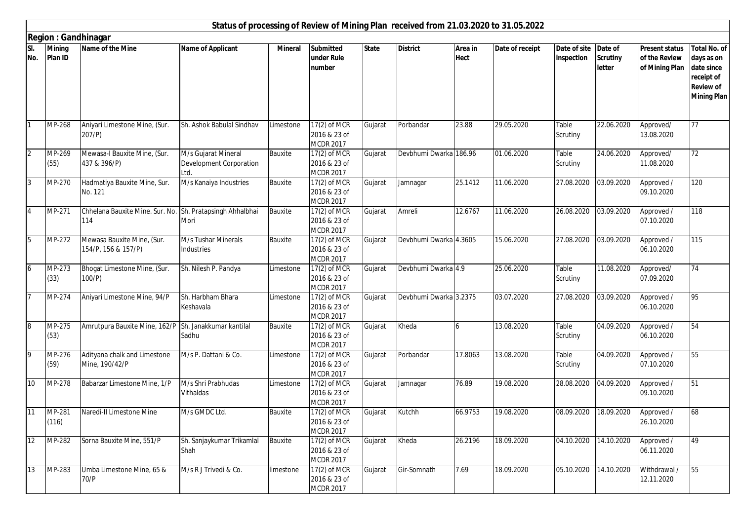|                |                          |                                                                  |                                                        |                |                                                  |              | Status of processing of Review of Mining Plan received from 21.03.2020 to 31.05.2022 |                        |                 |                            |                                      |                                                          |                                                                                                         |
|----------------|--------------------------|------------------------------------------------------------------|--------------------------------------------------------|----------------|--------------------------------------------------|--------------|--------------------------------------------------------------------------------------|------------------------|-----------------|----------------------------|--------------------------------------|----------------------------------------------------------|---------------------------------------------------------------------------------------------------------|
|                |                          | <b>Region: Gandhinagar</b>                                       |                                                        |                |                                                  |              |                                                                                      |                        |                 |                            |                                      |                                                          |                                                                                                         |
| SI.<br>No.     | <b>Mining</b><br>Plan ID | Name of the Mine                                                 | <b>Name of Applicant</b>                               | <b>Mineral</b> | <b>Submitted</b><br>under Rule<br>number         | <b>State</b> | <b>District</b>                                                                      | Area in<br><b>Hect</b> | Date of receipt | Date of site<br>inspection | Date of<br><b>Scrutiny</b><br>letter | <b>Present status</b><br>of the Review<br>of Mining Plan | <b>Total No. of</b><br>days as on<br>date since<br>receipt of<br><b>Review of</b><br><b>Mining Plan</b> |
| $\mathbf{1}$   | MP-268                   | Aniyari Limestone Mine, (Sur.<br>$207/P$ )                       | Sh. Ashok Babulal Sindhav                              | Limestone      | $17(2)$ of MCR<br>2016 & 23 of<br>MCDR 2017      | Gujarat      | Porbandar                                                                            | 23.88                  | 29.05.2020      | Table<br>Scrutiny          | 22.06.2020                           | Approved/<br>13.08.2020                                  | 77                                                                                                      |
| $\overline{2}$ | MP-269<br>(55)           | Mewasa-I Bauxite Mine, (Sur.<br>437 & 396/P)                     | M/s Gujarat Mineral<br>Development Corporation<br>Ltd. | Bauxite        | 17(2) of MCR<br>2016 & 23 of<br><b>MCDR 2017</b> | Gujarat      | Devbhumi Dwarka 186.96                                                               |                        | 01.06.2020      | Table<br>Scrutiny          | 24.06.2020                           | Approved/<br>11.08.2020                                  | 72                                                                                                      |
| $\overline{3}$ | MP-270                   | Hadmatiya Bauxite Mine, Sur.<br>No. 121                          | M/s Kanaiya Industries                                 | Bauxite        | 17(2) of MCR<br>2016 & 23 of<br><b>MCDR 2017</b> | Gujarat      | Jamnagar                                                                             | 25.1412                | 11.06.2020      | 27.08.2020                 | 03.09.2020                           | Approved /<br>09.10.2020                                 | 120                                                                                                     |
| $\overline{4}$ | MP-271                   | Chhelana Bauxite Mine. Sur. No. Sh. Pratapsingh Ahhalbhai<br>114 | Mori                                                   | Bauxite        | 17(2) of MCR<br>2016 & 23 of<br><b>MCDR 2017</b> | Gujarat      | Amreli                                                                               | 12.6767                | 11.06.2020      | 26.08.2020                 | 03.09.2020                           | Approved /<br>07.10.2020                                 | 118                                                                                                     |
| 5              | MP-272                   | Mewasa Bauxite Mine, (Sur.<br>154/P, 156 & 157/P)                | M/s Tushar Minerals<br>Industries                      | Bauxite        | 17(2) of MCR<br>2016 & 23 of<br><b>MCDR 2017</b> | Gujarat      | Devbhumi Dwarka 4.3605                                                               |                        | 15.06.2020      | 27.08.2020                 | 03.09.2020                           | Approved /<br>06.10.2020                                 | 115                                                                                                     |
| $\mathbf 6$    | MP-273<br>(33)           | Bhogat Limestone Mine, (Sur.<br>100/P)                           | Sh. Nilesh P. Pandya                                   | Limestone      | 17(2) of MCR<br>2016 & 23 of<br><b>MCDR 2017</b> | Gujarat      | Devbhumi Dwarka 4.9                                                                  |                        | 25.06.2020      | Table<br>Scrutiny          | 11.08.2020                           | Approved/<br>07.09.2020                                  | 74                                                                                                      |
| 17             | MP-274                   | Aniyari Limestone Mine, 94/P                                     | Sh. Harbham Bhara<br>Keshavala                         | Limestone      | 17(2) of MCR<br>2016 & 23 of<br><b>MCDR 2017</b> | Gujarat      | Devbhumi Dwarka 3.2375                                                               |                        | 03.07.2020      | 27.08.2020                 | 03.09.2020                           | Approved /<br>06.10.2020                                 | 95                                                                                                      |
| 8              | MP-275<br>(53)           | Amrutpura Bauxite Mine, 162/P Sh. Janakkumar kantilal            | Sadhu                                                  | Bauxite        | 17(2) of MCR<br>2016 & 23 of<br><b>MCDR 2017</b> | Gujarat      | Kheda                                                                                | 6                      | 13.08.2020      | Table<br>Scrutiny          | 04.09.2020                           | Approved /<br>06.10.2020                                 | 54                                                                                                      |
| 9              | MP-276<br>(59)           | Adityana chalk and Limestone<br>Mine, 190/42/P                   | M/s P. Dattani & Co.                                   | Limestone      | 17(2) of MCR<br>2016 & 23 of<br>MCDR 2017        | Gujarat      | Porbandar                                                                            | 17.8063                | 13.08.2020      | Table<br>Scrutiny          | 04.09.2020                           | Approved /<br>07.10.2020                                 | 55                                                                                                      |
| 10             | MP-278                   | Babarzar Limestone Mine, 1/P                                     | M/s Shri Prabhudas<br>Vithaldas                        | Limestone      | 17(2) of MCR<br>2016 & 23 of<br><b>MCDR 2017</b> | Gujarat      | Jamnagar                                                                             | 76.89                  | 19.08.2020      | 28.08.2020                 | 04.09.2020                           | Approved /<br>09.10.2020                                 | 51                                                                                                      |
| 11             | MP-281<br>(116)          | Naredi-II Limestone Mine                                         | M/s GMDC Ltd.                                          | Bauxite        | 17(2) of MCR<br>2016 & 23 of<br><b>MCDR 2017</b> | Gujarat      | Kutchh                                                                               | 66.9753                | 19.08.2020      |                            | 08.09.2020 18.09.2020                | Approved /<br>26.10.2020                                 | 68                                                                                                      |
| 12             | MP-282                   | Sorna Bauxite Mine, 551/P                                        | Sh. Sanjaykumar Trikamlal<br>Shah                      | Bauxite        | 17(2) of MCR<br>2016 & 23 of<br><b>MCDR 2017</b> | Gujarat      | Kheda                                                                                | 26.2196                | 18.09.2020      | 04.10.2020                 | 14.10.2020                           | Approved /<br>06.11.2020                                 | 49                                                                                                      |
| 13             | MP-283                   | Umba Limestone Mine, 65 &<br>70/P                                | M/s R J Trivedi & Co.                                  | limestone      | 17(2) of MCR<br>2016 & 23 of<br><b>MCDR 2017</b> | Gujarat      | Gir-Somnath                                                                          | 7.69                   | 18.09.2020      | 05.10.2020                 | 14.10.2020                           | Withdrawal /<br>12.11.2020                               | 55                                                                                                      |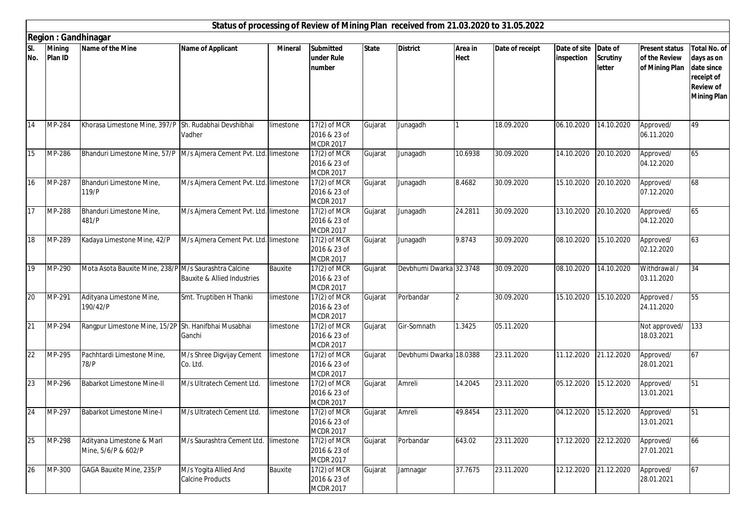|            |                             |                                                                       |                                                  |                |                                                    |              | Status of processing of Review of Mining Plan received from 21.03.2020 to 31.05.2022 |                        |                 |                            |                                      |                                                          |                                                                                                         |
|------------|-----------------------------|-----------------------------------------------------------------------|--------------------------------------------------|----------------|----------------------------------------------------|--------------|--------------------------------------------------------------------------------------|------------------------|-----------------|----------------------------|--------------------------------------|----------------------------------------------------------|---------------------------------------------------------------------------------------------------------|
|            |                             | <b>Region: Gandhinagar</b>                                            |                                                  |                |                                                    |              |                                                                                      |                        |                 |                            |                                      |                                                          |                                                                                                         |
| SI.<br>No. | <b>Mining</b><br>Plan ID    | Name of the Mine                                                      | <b>Name of Applicant</b>                         | <b>Mineral</b> | <b>Submitted</b><br>under Rule<br>number           | <b>State</b> | <b>District</b>                                                                      | Area in<br><b>Hect</b> | Date of receipt | Date of site<br>inspection | Date of<br><b>Scrutiny</b><br>letter | <b>Present status</b><br>of the Review<br>of Mining Plan | <b>Total No. of</b><br>days as on<br>date since<br>receipt of<br><b>Review of</b><br><b>Mining Plan</b> |
| 14         | MP-284                      | Khorasa Limestone Mine, 397/P Sh. Rudabhai Devshibhai                 | Vadher                                           | limestone      | 17(2) of MCR<br>2016 & 23 of<br><b>MCDR 2017</b>   | Gujarat      | Junagadh                                                                             |                        | 18.09.2020      | 06.10.2020                 | 14.10.2020                           | Approved/<br>06.11.2020                                  | 49                                                                                                      |
| 15         | $\overline{\text{MP}}$ -286 | Bhanduri Limestone Mine, 57/P   M/s Ajmera Cement Pvt. Ltd. limestone |                                                  |                | 17(2) of MCR<br>2016 & 23 of<br><b>MCDR 2017</b>   | Gujarat      | Junagadh                                                                             | 10.6938                | 30.09.2020      | 14.10.2020                 | 20.10.2020                           | Approved/<br>04.12.2020                                  | 65                                                                                                      |
| 16         | MP-287                      | Bhanduri Limestone Mine,<br>119/P                                     | M/s Ajmera Cement Pvt. Ltd. limestone            |                | 17(2) of MCR<br>2016 & 23 of<br><b>MCDR 2017</b>   | Gujarat      | Junagadh                                                                             | 8.4682                 | 30.09.2020      | 15.10.2020                 | 20.10.2020                           | Approved/<br>07.12.2020                                  | 68                                                                                                      |
| 17         | MP-288                      | Bhanduri Limestone Mine,<br>481/P                                     | M/s Ajmera Cement Pvt. Ltd. limestone            |                | $17(2)$ of MCR<br>2016 & 23 of<br><b>MCDR 2017</b> | Gujarat      | Junagadh                                                                             | 24.2811                | 30.09.2020      | 13.10.2020                 | 20.10.2020                           | Approved/<br>04.12.2020                                  | 65                                                                                                      |
| 18         | MP-289                      | Kadaya Limestone Mine, 42/P                                           | M/s Ajmera Cement Pvt. Ltd. limestone            |                | 17(2) of MCR<br>2016 & 23 of<br><b>MCDR 2017</b>   | Gujarat      | Junagadh                                                                             | 9.8743                 | 30.09.2020      | 08.10.2020                 | 15.10.2020                           | Approved/<br>02.12.2020                                  | 63                                                                                                      |
| 19         | MP-290                      | Mota Asota Bauxite Mine, 238/P M/s Saurashtra Calcine                 | <b>Bauxite &amp; Allied Industries</b>           | Bauxite        | 17(2) of MCR<br>2016 & 23 of<br><b>MCDR 2017</b>   | Gujarat      | Devbhumi Dwarka 32.3748                                                              |                        | 30.09.2020      | 08.10.2020                 | 14.10.2020                           | Withdrawal /<br>03.11.2020                               | 34                                                                                                      |
| 20         | MP-291                      | Adityana Limestone Mine,<br>190/42/P                                  | Smt. Truptiben H Thanki                          | limestone      | 17(2) of MCR<br>2016 & 23 of<br><b>MCDR 2017</b>   | Gujarat      | Porbandar                                                                            | $\overline{2}$         | 30.09.2020      | 15.10.2020                 | 15.10.2020                           | Approved /<br>24.11.2020                                 | 55                                                                                                      |
| 21         | MP-294                      | Rangpur Limestone Mine, 15/2P Sh. Hanifbhai Musabhai                  | Ganchi                                           | limestone      | 17(2) of MCR<br>2016 & 23 of<br><b>MCDR 2017</b>   | Gujarat      | Gir-Somnath                                                                          | 1.3425                 | 05.11.2020      |                            |                                      | Not approved/<br>18.03.2021                              | 133                                                                                                     |
| 22         | MP-295                      | Pachhtardi Limestone Mine,<br>78/P                                    | M/s Shree Digvijay Cement<br>Co. Ltd.            | limestone      | 17(2) of MCR<br>2016 & 23 of<br>MCDR 2017          | Gujarat      | Devbhumi Dwarka 18.0388                                                              |                        | 23.11.2020      | 11.12.2020                 | 21.12.2020                           | Approved/<br>28.01.2021                                  | 67                                                                                                      |
| 23         | MP-296                      | <b>Babarkot Limestone Mine-II</b>                                     | M/s Ultratech Cement Ltd.                        | limestone      | 17(2) of MCR<br>2016 & 23 of<br><b>MCDR 2017</b>   | Gujarat      | Amreli                                                                               | 14.2045                | 23.11.2020      | 05.12.2020                 | 15.12.2020                           | Approved/<br>13.01.2021                                  | 51                                                                                                      |
| 24         | MP-297                      | <b>Babarkot Limestone Mine-I</b>                                      | M/s Ultratech Cement Ltd.                        | limestone      | 17(2) of MCR<br>2016 & 23 of<br><b>MCDR 2017</b>   | Gujarat      | Amreli                                                                               | 49.8454                | 23.11.2020      | 04.12.2020 15.12.2020      |                                      | Approved/<br>13.01.2021                                  | 51                                                                                                      |
| 25         | MP-298                      | Adityana Limestone & Marl<br>Mine, 5/6/P & 602/P                      | M/s Saurashtra Cement Ltd. limestone             |                | 17(2) of MCR<br>2016 & 23 of<br><b>MCDR 2017</b>   | Gujarat      | Porbandar                                                                            | 643.02                 | 23.11.2020      | 17.12.2020                 | 22.12.2020                           | Approved/<br>27.01.2021                                  | 66                                                                                                      |
| 26         | MP-300                      | <b>GAGA Bauxite Mine, 235/P</b>                                       | M/s Yogita Allied And<br><b>Calcine Products</b> | Bauxite        | 17(2) of MCR<br>2016 & 23 of<br><b>MCDR 2017</b>   | Gujarat      | Jamnagar                                                                             | 37.7675                | 23.11.2020      | 12.12.2020                 | 21.12.2020                           | Approved/<br>28.01.2021                                  | 67                                                                                                      |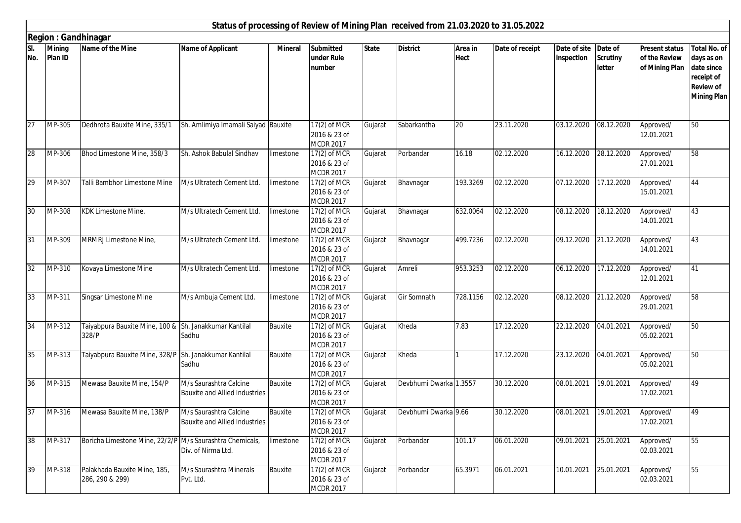|            |                            |                                                                 |                                                                |                |                                                  |              | Status of processing of Review of Mining Plan received from 21.03.2020 to 31.05.2022 |                        |                 |                            |                                      |                                                          |                                                                                                         |
|------------|----------------------------|-----------------------------------------------------------------|----------------------------------------------------------------|----------------|--------------------------------------------------|--------------|--------------------------------------------------------------------------------------|------------------------|-----------------|----------------------------|--------------------------------------|----------------------------------------------------------|---------------------------------------------------------------------------------------------------------|
|            | <b>Region: Gandhinagar</b> |                                                                 |                                                                |                |                                                  |              |                                                                                      |                        |                 |                            |                                      |                                                          |                                                                                                         |
| SI.<br>No. | <b>Mining</b><br>Plan ID   | Name of the Mine                                                | <b>Name of Applicant</b>                                       | <b>Mineral</b> | <b>Submitted</b><br>under Rule<br>number         | <b>State</b> | <b>District</b>                                                                      | Area in<br><b>Hect</b> | Date of receipt | Date of site<br>inspection | Date of<br><b>Scrutiny</b><br>letter | <b>Present status</b><br>of the Review<br>of Mining Plan | <b>Total No. of</b><br>days as on<br>date since<br>receipt of<br><b>Review of</b><br><b>Mining Plan</b> |
| 27         | MP-305                     | Dedhrota Bauxite Mine, 335/1                                    | Sh. Amlimiya Imamali Saiyad Bauxite                            |                | 17(2) of MCR<br>2016 & 23 of<br><b>MCDR 2017</b> | Gujarat      | Sabarkantha                                                                          | 20                     | 23.11.2020      | 03.12.2020                 | 08.12.2020                           | Approved/<br>12.01.2021                                  | 50                                                                                                      |
| 28         | MP-306                     | Bhod Limestone Mine, 358/3                                      | Sh. Ashok Babulal Sindhav                                      | limestone      | 17(2) of MCR<br>2016 & 23 of<br><b>MCDR 2017</b> | Gujarat      | Porbandar                                                                            | 16.18                  | 02.12.2020      | 16.12.2020                 | 28.12.2020                           | Approved/<br>27.01.2021                                  | 58                                                                                                      |
| 29         | MP-307                     | Talli Bambhor Limestone Mine                                    | M/s Ultratech Cement Ltd.                                      | limestone      | 17(2) of MCR<br>2016 & 23 of<br><b>MCDR 2017</b> | Gujarat      | Bhavnagar                                                                            | 193.3269               | 02.12.2020      | 07.12.2020                 | 17.12.2020                           | Approved/<br>15.01.2021                                  | 44                                                                                                      |
| 30         | MP-308                     | KDK Limestone Mine,                                             | M/s Ultratech Cement Ltd.                                      | limestone      | 17(2) of MCR<br>2016 & 23 of<br><b>MCDR 2017</b> | Gujarat      | Bhavnagar                                                                            | 632.0064               | 02.12.2020      | 08.12.2020                 | 18.12.2020                           | Approved/<br>14.01.2021                                  | 43                                                                                                      |
| 31         | MP-309                     | MRMRJ Limestone Mine,                                           | M/s Ultratech Cement Ltd.                                      | limestone      | 17(2) of MCR<br>2016 & 23 of<br><b>MCDR 2017</b> | Gujarat      | Bhavnagar                                                                            | 499.7236               | 02.12.2020      | 09.12.2020                 | 21.12.2020                           | Approved/<br>14.01.2021                                  | 43                                                                                                      |
| 32         | MP-310                     | Kovaya Limestone Mine                                           | M/s Ultratech Cement Ltd.                                      | Timestone      | 17(2) of MCR<br>2016 & 23 of<br><b>MCDR 2017</b> | Gujarat      | Amreli                                                                               | 953.3253               | 02.12.2020      | 06.12.2020                 | 17.12.2020                           | Approved/<br>12.01.2021                                  | 41                                                                                                      |
| 33         | MP-311                     | Singsar Limestone Mine                                          | M/s Ambuja Cement Ltd.                                         | limestone      | 17(2) of MCR<br>2016 & 23 of<br><b>MCDR 2017</b> | Gujarat      | Gir Somnath                                                                          | 728.1156               | 02.12.2020      | 08.12.2020                 | 21.12.2020                           | Approved/<br>29.01.2021                                  | 58                                                                                                      |
| 34         | MP-312                     | Taiyabpura Bauxite Mine, 100 & Sh. Janakkumar Kantilal<br>328/P | Sadhu                                                          | Bauxite        | 17(2) of MCR<br>2016 & 23 of<br><b>MCDR 2017</b> | Gujarat      | Kheda                                                                                | 7.83                   | 17.12.2020      | 22.12.2020                 | 04.01.2021                           | Approved/<br>05.02.2021                                  | 50                                                                                                      |
| 35         | MP-313                     | Taiyabpura Bauxite Mine, 328/P Sh. Janakkumar Kantilal          | Sadhu                                                          | Bauxite        | 17(2) of MCR<br>2016 & 23 of<br>MCDR 2017        | Gujarat      | Kheda                                                                                |                        | 17.12.2020      | 23.12.2020                 | 04.01.2021                           | Approved/<br>05.02.2021                                  | 50                                                                                                      |
| 36         | MP-315                     | Mewasa Bauxite Mine, 154/P                                      | M/s Saurashtra Calcine<br>Bauxite and Allied Industries        | Bauxite        | 17(2) of MCR<br>2016 & 23 of<br><b>MCDR 2017</b> | Gujarat      | Devbhumi Dwarka 1.3557                                                               |                        | 30.12.2020      | 08.01.2021                 | 19.01.2021                           | Approved/<br>17.02.2021                                  | 49                                                                                                      |
| 37         | $\overline{\text{MP-}316}$ | Mewasa Bauxite Mine, 138/P                                      | M/s Saurashtra Calcine<br><b>Bauxite and Allied Industries</b> | Bauxite        | 17(2) of MCR<br>2016 & 23 of<br><b>MCDR 2017</b> | Gujarat      | Devbhumi Dwarka 9.66                                                                 |                        | 30.12.2020      | 08.01.2021 19.01.2021      |                                      | Approved/<br>17.02.2021                                  | 49                                                                                                      |
| 38         | MP-317                     | Boricha Limestone Mine, 22/2/P M/s Saurashtra Chemicals,        | Div. of Nirma Ltd.                                             | limestone      | 17(2) of MCR<br>2016 & 23 of<br><b>MCDR 2017</b> | Gujarat      | Porbandar                                                                            | 101.17                 | 06.01.2020      | 09.01.2021                 | 25.01.2021                           | Approved/<br>02.03.2021                                  | 55                                                                                                      |
| 39         | MP-318                     | Palakhada Bauxite Mine, 185,<br>286, 290 & 299)                 | M/s Saurashtra Minerals<br>Pvt. Ltd.                           | Bauxite        | 17(2) of MCR<br>2016 & 23 of<br><b>MCDR 2017</b> | Gujarat      | Porbandar                                                                            | 65.3971                | 06.01.2021      | 10.01.2021                 | 25.01.2021                           | Approved/<br>02.03.2021                                  | 55                                                                                                      |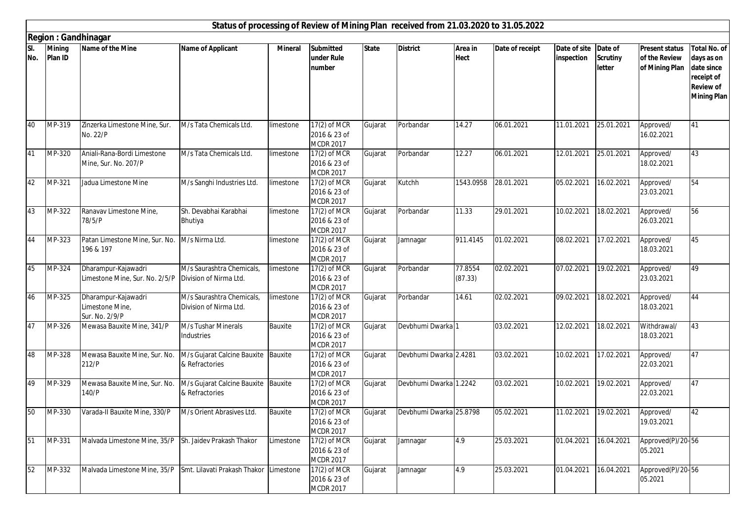|            |                            |                                                                                |                                                       |                |                                                    |              | Status of processing of Review of Mining Plan received from 21.03.2020 to 31.05.2022 |                        |                 |                            |                                      |                                                          |                                                                                                         |
|------------|----------------------------|--------------------------------------------------------------------------------|-------------------------------------------------------|----------------|----------------------------------------------------|--------------|--------------------------------------------------------------------------------------|------------------------|-----------------|----------------------------|--------------------------------------|----------------------------------------------------------|---------------------------------------------------------------------------------------------------------|
|            | <b>Region: Gandhinagar</b> |                                                                                |                                                       |                |                                                    |              |                                                                                      |                        |                 |                            |                                      |                                                          |                                                                                                         |
| SI.<br>No. | <b>Mining</b><br>Plan ID   | Name of the Mine                                                               | <b>Name of Applicant</b>                              | <b>Mineral</b> | <b>Submitted</b><br>under Rule<br>number           | <b>State</b> | <b>District</b>                                                                      | Area in<br><b>Hect</b> | Date of receipt | Date of site<br>inspection | Date of<br><b>Scrutiny</b><br>letter | <b>Present status</b><br>of the Review<br>of Mining Plan | <b>Total No. of</b><br>days as on<br>date since<br>receipt of<br><b>Review of</b><br><b>Mining Plan</b> |
| 40         | MP-319                     | Zinzerka Limestone Mine, Sur.<br>No. 22/P                                      | M/s Tata Chemicals Ltd.                               | limestone      | $17(2)$ of MCR<br>2016 & 23 of<br><b>MCDR 2017</b> | Gujarat      | Porbandar                                                                            | 14.27                  | 06.01.2021      | 11.01.2021                 | 25.01.2021                           | Approved/<br>16.02.2021                                  | 41                                                                                                      |
| 41         | $\overline{\text{MP-}320}$ | Aniali-Rana-Bordi Limestone<br>Mine, Sur. No. 207/P                            | M/s Tata Chemicals Ltd.                               | limestone      | 17(2) of MCR<br>2016 & 23 of<br><b>MCDR 2017</b>   | Gujarat      | Porbandar                                                                            | 12.27                  | 06.01.2021      | 12.01.2021                 | 25.01.2021                           | Approved/<br>18.02.2021                                  | 43                                                                                                      |
| 42         | MP-321                     | Jadua Limestone Mine                                                           | M/s Sanghi Industries Ltd.                            | limestone      | 17(2) of MCR<br>2016 & 23 of<br><b>MCDR 2017</b>   | Gujarat      | Kutchh                                                                               | 1543.0958              | 28.01.2021      | 05.02.2021                 | 16.02.2021                           | Approved/<br>23.03.2021                                  | 54                                                                                                      |
| 43         | MP-322                     | Ranavav Limestone Mine,<br>78/5/P                                              | Sh. Devabhai Karabhai<br>Bhutiya                      | limestone      | 17(2) of MCR<br>2016 & 23 of<br><b>MCDR 2017</b>   | Gujarat      | Porbandar                                                                            | 11.33                  | 29.01.2021      | 10.02.2021                 | 18.02.2021                           | Approved/<br>26.03.2021                                  | 56                                                                                                      |
| 44         | MP-323                     | Patan Limestone Mine, Sur. No.<br>196 & 197                                    | M/s Nirma Ltd.                                        | limestone      | 17(2) of MCR<br>2016 & 23 of<br><b>MCDR 2017</b>   | Gujarat      | Jamnagar                                                                             | 911.4145               | 01.02.2021      | 08.02.2021                 | 17.02.2021                           | Approved/<br>18.03.2021                                  | 45                                                                                                      |
| 45         | MP-324                     | Dharampur-Kajawadri<br>Limestone Mine, Sur. No. 2/5/P   Division of Nirma Ltd. | M/s Saurashtra Chemicals,                             | limestone      | 17(2) of MCR<br>2016 & 23 of<br><b>MCDR 2017</b>   | Gujarat      | Porbandar                                                                            | 77.8554<br>(87.33)     | 02.02.2021      | 07.02.2021                 | 19.02.2021                           | Approved/<br>23.03.2021                                  | 49                                                                                                      |
| 46         | MP-325                     | Dharampur-Kajawadri<br>Limestone Mine,<br>Sur. No. 2/9/P                       | M/s Saurashtra Chemicals,<br>Division of Nirma Ltd.   | limestone      | 17(2) of MCR<br>2016 & 23 of<br><b>MCDR 2017</b>   | Gujarat      | Porbandar                                                                            | 14.61                  | 02.02.2021      | 09.02.2021                 | 18.02.2021                           | Approved/<br>18.03.2021                                  | 44                                                                                                      |
| 47         | MP-326                     | Mewasa Bauxite Mine, 341/P                                                     | M/s Tushar Minerals<br>Industries                     | Bauxite        | 17(2) of MCR<br>2016 & 23 of<br><b>MCDR 2017</b>   | Gujarat      | Devbhumi Dwarka 1                                                                    |                        | 03.02.2021      | 12.02.2021                 | 18.02.2021                           | Withdrawal/<br>18.03.2021                                | 43                                                                                                      |
| 48         | MP-328                     | Mewasa Bauxite Mine, Sur. No.<br>212/P                                         | M/s Gujarat Calcine Bauxite Bauxite<br>& Refractories |                | 17(2) of MCR<br>2016 & 23 of<br><b>MCDR 2017</b>   | Gujarat      | Devbhumi Dwarka 2.4281                                                               |                        | 03.02.2021      | 10.02.2021                 | 17.02.2021                           | Approved/<br>22.03.2021                                  | 47                                                                                                      |
| 49         | MP-329                     | Mewasa Bauxite Mine, Sur. No.<br>140/P                                         | M/s Gujarat Calcine Bauxite Bauxite<br>& Refractories |                | 17(2) of MCR<br>2016 & 23 of<br><b>MCDR 2017</b>   | Gujarat      | Devbhumi Dwarka 1.2242                                                               |                        | 03.02.2021      | 10.02.2021                 | 19.02.2021                           | Approved/<br>22.03.2021                                  | 47                                                                                                      |
| 50         | MP-330                     | Varada-II Bauxite Mine, 330/P                                                  | M/s Orient Abrasives Ltd.                             | Bauxite        | 17(2) of MCR<br>2016 & 23 of<br><b>MCDR 2017</b>   | Gujarat      | Devbhumi Dwarka 25.8798                                                              |                        | 05.02.2021      |                            | 11.02.2021 19.02.2021                | Approved/<br>19.03.2021                                  | 42                                                                                                      |
| 51         | MP-331                     | Malvada Limestone Mine, 35/P                                                   | Sh. Jaidev Prakash Thakor                             | Limestone      | 17(2) of MCR<br>2016 & 23 of<br><b>MCDR 2017</b>   | Gujarat      | Jamnagar                                                                             | 4.9                    | 25.03.2021      | 01.04.2021                 | 16.04.2021                           | Approved(P)/20-56<br>05.2021                             |                                                                                                         |
| 52         | MP-332                     | Malvada Limestone Mine, 35/P                                                   | Smt. Lilavati Prakash Thakor Limestone                |                | 17(2) of MCR<br>2016 & 23 of<br><b>MCDR 2017</b>   | Gujarat      | Jamnagar                                                                             | 4.9                    | 25.03.2021      | 01.04.2021                 | 16.04.2021                           | Approved(P)/20-56<br>05.2021                             |                                                                                                         |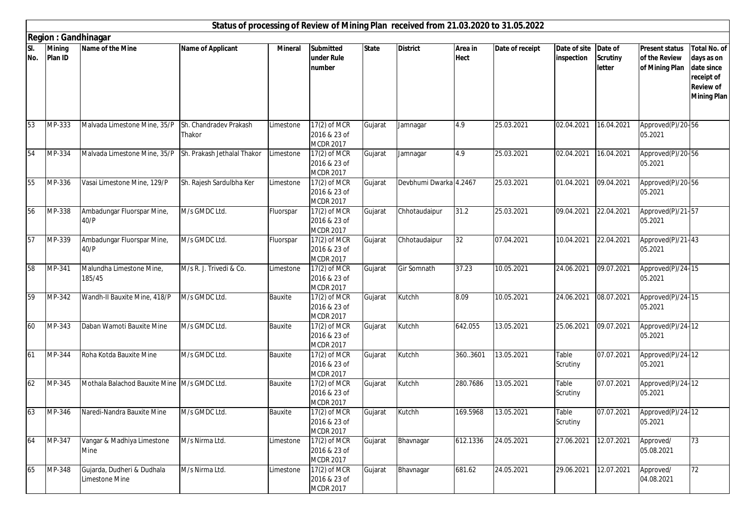|            | Status of processing of Review of Mining Plan received from 21.03.2020 to 31.05.2022<br><b>Region: Gandhinagar</b><br>Name of the Mine<br><b>Name of Applicant</b><br><b>Mining</b><br><b>Mineral</b><br><b>Submitted</b><br><b>State</b><br><b>District</b><br>Area in<br>Date of receipt<br>Date of site<br>Date of<br><b>Total No. of</b><br><b>Present status</b><br>Plan ID<br>under Rule<br><b>Hect</b><br>inspection<br><b>Scrutiny</b><br>of the Review<br>days as on |                                              |                                  |           |                                                    |         |                        |          |            |                   |            |                                           |                                                                    |  |
|------------|-------------------------------------------------------------------------------------------------------------------------------------------------------------------------------------------------------------------------------------------------------------------------------------------------------------------------------------------------------------------------------------------------------------------------------------------------------------------------------|----------------------------------------------|----------------------------------|-----------|----------------------------------------------------|---------|------------------------|----------|------------|-------------------|------------|-------------------------------------------|--------------------------------------------------------------------|--|
| SI.<br>No. |                                                                                                                                                                                                                                                                                                                                                                                                                                                                               |                                              |                                  |           | number                                             |         |                        |          |            |                   | letter     | of Mining Plan                            | date since<br>receipt of<br><b>Review of</b><br><b>Mining Plan</b> |  |
| 53         | MP-333                                                                                                                                                                                                                                                                                                                                                                                                                                                                        | Malvada Limestone Mine, 35/P                 | Sh. Chandradev Prakash<br>Thakor | Limestone | 17(2) of MCR<br>2016 & 23 of<br><b>MCDR 2017</b>   | Gujarat | Jamnagar               | 4.9      | 25.03.2021 | 02.04.2021        | 16.04.2021 | Approved(P)/20-56<br>05.2021              |                                                                    |  |
| 54         | $\overline{\text{MP}}$ -334                                                                                                                                                                                                                                                                                                                                                                                                                                                   | Malvada Limestone Mine, 35/P                 | Sh. Prakash Jethalal Thakor      | Limestone | 17(2) of MCR<br>2016 & 23 of<br><b>MCDR 2017</b>   | Gujarat | Jamnagar               | 4.9      | 25.03.2021 | 02.04.2021        | 16.04.2021 | Approved(P)/20-56<br>05.2021              |                                                                    |  |
| 55         | MP-336                                                                                                                                                                                                                                                                                                                                                                                                                                                                        | Vasai Limestone Mine, 129/P                  | Sh. Rajesh Sardulbha Ker         | Limestone | 17(2) of MCR<br>2016 & 23 of<br><b>MCDR 2017</b>   | Gujarat | Devbhumi Dwarka 4.2467 |          | 25.03.2021 | 01.04.2021        | 09.04.2021 | Approved(P)/20-56<br>05.2021              |                                                                    |  |
| 56         | MP-338                                                                                                                                                                                                                                                                                                                                                                                                                                                                        | Ambadungar Fluorspar Mine,<br>40/P           | M/s GMDC Ltd.                    | Fluorspar | $17(2)$ of MCR<br>2016 & 23 of<br><b>MCDR 2017</b> | Gujarat | Chhotaudaipur          | 31.2     | 25.03.2021 | 09.04.2021        | 22.04.2021 | Approved(P)/21-57<br>05.2021              |                                                                    |  |
| 57         | MP-339                                                                                                                                                                                                                                                                                                                                                                                                                                                                        | Ambadungar Fluorspar Mine,<br>40/P           | M/s GMDC Ltd.                    | Fluorspar | $17(2)$ of MCR<br>2016 & 23 of<br><b>MCDR 2017</b> | Gujarat | Chhotaudaipur          | 32       | 07.04.2021 | 10.04.2021        | 22.04.2021 | Approved(P)/21-43<br>05.2021              |                                                                    |  |
| 58         | MP-341                                                                                                                                                                                                                                                                                                                                                                                                                                                                        | Malundha Limestone Mine,<br>185/45           | M/s R. J. Trivedi & Co.          | Limestone | 17(2) of MCR<br>2016 & 23 of<br><b>MCDR 2017</b>   | Gujarat | Gir Somnath            | 37.23    | 10.05.2021 | 24.06.2021        | 09.07.2021 | Approved(P)/24-15<br>05.2021              |                                                                    |  |
| 59         | MP-342                                                                                                                                                                                                                                                                                                                                                                                                                                                                        | Wandh-II Bauxite Mine, 418/P                 | M/s GMDC Ltd.                    | Bauxite   | 17(2) of MCR<br>2016 & 23 of<br><b>MCDR 2017</b>   | Gujarat | Kutchh                 | 8.09     | 10.05.2021 | 24.06.2021        | 08.07.2021 | Approved(P)/24-15<br>05.2021              |                                                                    |  |
| 60         | MP-343                                                                                                                                                                                                                                                                                                                                                                                                                                                                        | Daban Wamoti Bauxite Mine                    | M/s GMDC Ltd.                    | Bauxite   | 17(2) of MCR<br>2016 & 23 of<br><b>MCDR 2017</b>   | Gujarat | Kutchh                 | 642.055  | 13.05.2021 | 25.06.2021        | 09.07.2021 | Approved(P)/24-12<br>05.2021              |                                                                    |  |
| 61         | MP-344                                                                                                                                                                                                                                                                                                                                                                                                                                                                        | Roha Kotda Bauxite Mine                      | M/s GMDC Ltd.                    | Bauxite   | 17(2) of MCR<br>2016 & 23 of<br><b>MCDR 2017</b>   | Gujarat | Kutchh                 | 360.3601 | 13.05.2021 | Table<br>Scrutiny | 07.07.2021 | Approved(P)/24-12<br>05.2021              |                                                                    |  |
| 62         | MP-345                                                                                                                                                                                                                                                                                                                                                                                                                                                                        | Mothala Balachod Bauxite Mine M/s GMDC Ltd.  |                                  | Bauxite   | 17(2) of MCR<br>2016 & 23 of<br><b>MCDR 2017</b>   | Gujarat | Kutchh                 | 280.7686 | 13.05.2021 | Table<br>Scrutiny | 07.07.2021 | Approved <sub>(P)</sub> /24-12<br>05.2021 |                                                                    |  |
| 63         | $\overline{\text{MP-}346}$                                                                                                                                                                                                                                                                                                                                                                                                                                                    | Naredi-Nandra Bauxite Mine                   | M/s GMDC Ltd.                    | Bauxite   | 17(2) of MCR<br>2016 & 23 of<br><b>MCDR 2017</b>   | Gujarat | Kutchh                 | 169.5968 | 13.05.2021 | Table<br>Scrutiny | 07.07.2021 | Approved <sub>(P)</sub> /24-12<br>05.2021 |                                                                    |  |
| 64         | MP-347                                                                                                                                                                                                                                                                                                                                                                                                                                                                        | Vangar & Madhiya Limestone<br>Mine           | M/s Nirma Ltd.                   | Limestone | 17(2) of MCR<br>2016 & 23 of<br><b>MCDR 2017</b>   | Gujarat | Bhavnagar              | 612.1336 | 24.05.2021 | 27.06.2021        | 12.07.2021 | Approved/<br>05.08.2021                   | 73                                                                 |  |
| 65         | MP-348                                                                                                                                                                                                                                                                                                                                                                                                                                                                        | Gujarda, Dudheri & Dudhala<br>Limestone Mine | M/s Nirma Ltd.                   | Limestone | 17(2) of MCR<br>2016 & 23 of<br><b>MCDR 2017</b>   | Gujarat | Bhavnagar              | 681.62   | 24.05.2021 | 29.06.2021        | 12.07.2021 | Approved/<br>04.08.2021                   | 72                                                                 |  |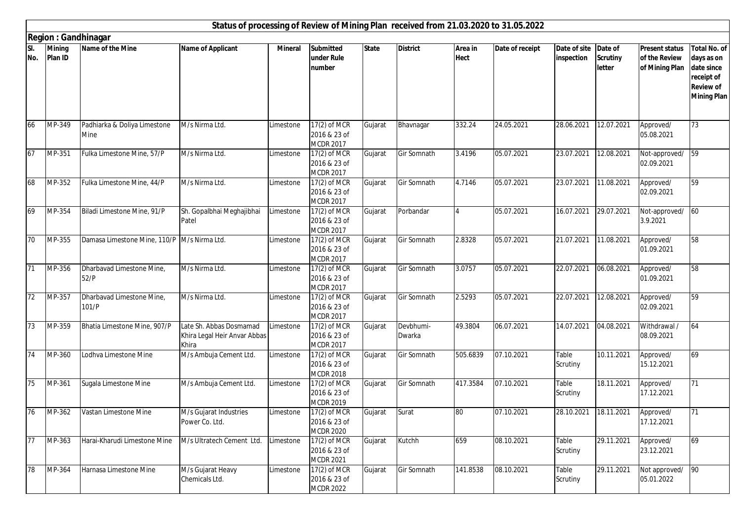|                 |                             |                                               |                                                                  |                |                                                    |              |                     |                        | Status of processing of Review of Mining Plan received from 21.03.2020 to 31.05.2022 |                            |                                      |                                                          |                                                                                                         |
|-----------------|-----------------------------|-----------------------------------------------|------------------------------------------------------------------|----------------|----------------------------------------------------|--------------|---------------------|------------------------|--------------------------------------------------------------------------------------|----------------------------|--------------------------------------|----------------------------------------------------------|---------------------------------------------------------------------------------------------------------|
|                 |                             | <b>Region: Gandhinagar</b>                    |                                                                  |                |                                                    |              |                     |                        |                                                                                      |                            |                                      |                                                          |                                                                                                         |
| SI.<br>No.      | <b>Mining</b><br>Plan ID    | Name of the Mine                              | <b>Name of Applicant</b>                                         | <b>Mineral</b> | <b>Submitted</b><br>under Rule<br>number           | <b>State</b> | <b>District</b>     | Area in<br><b>Hect</b> | Date of receipt                                                                      | Date of site<br>inspection | Date of<br><b>Scrutiny</b><br>letter | <b>Present status</b><br>of the Review<br>of Mining Plan | <b>Total No. of</b><br>days as on<br>date since<br>receipt of<br><b>Review of</b><br><b>Mining Plan</b> |
| 66              | MP-349                      | Padhiarka & Doliya Limestone<br>Mine          | M/s Nirma Ltd.                                                   | Limestone      | 17(2) of MCR<br>2016 & 23 of<br>MCDR 2017          | Gujarat      | Bhavnagar           | 332.24                 | 24.05.2021                                                                           | 28.06.2021                 | 12.07.2021                           | Approved/<br>05.08.2021                                  | 73                                                                                                      |
| 67              | MP-351                      | Fulka Limestone Mine, 57/P                    | M/s Nirma Ltd.                                                   | Limestone      | 17(2) of MCR<br>2016 & 23 of<br><b>MCDR 2017</b>   | Gujarat      | Gir Somnath         | 3.4196                 | 05.07.2021                                                                           | 23.07.2021                 | 12.08.2021                           | Not-approved/<br>02.09.2021                              | 59                                                                                                      |
| 68              | MP-352                      | Fulka Limestone Mine, 44/P                    | M/s Nirma Ltd.                                                   | Limestone      | 17(2) of MCR<br>2016 & 23 of<br><b>MCDR 2017</b>   | Gujarat      | Gir Somnath         | 4.7146                 | 05.07.2021                                                                           | 23.07.2021                 | 11.08.2021                           | Approved/<br>02.09.2021                                  | 59                                                                                                      |
| 69              | $\overline{\text{MP}}$ -354 | Biladi Limestone Mine, 91/P                   | Sh. Gopalbhai Meghajibhai<br>Patel                               | Limestone      | $17(2)$ of MCR<br>2016 & 23 of<br><b>MCDR 2017</b> | Gujarat      | Porbandar           | $\overline{4}$         | 05.07.2021                                                                           | 16.07.2021                 | 29.07.2021                           | Not-approved/ 60<br>3.9.2021                             |                                                                                                         |
| 70              | MP-355                      | Damasa Limestone Mine, 110/P   M/s Nirma Ltd. |                                                                  | Limestone      | 17(2) of MCR<br>2016 & 23 of<br><b>MCDR 2017</b>   | Gujarat      | Gir Somnath         | 2.8328                 | 05.07.2021                                                                           | 21.07.2021                 | 11.08.2021                           | Approved/<br>01.09.2021                                  | 58                                                                                                      |
| 71              | MP-356                      | Dharbavad Limestone Mine,<br>52/P             | M/s Nirma Ltd.                                                   | Limestone      | 17(2) of MCR<br>2016 & 23 of<br><b>MCDR 2017</b>   | Gujarat      | Gir Somnath         | 3.0757                 | 05.07.2021                                                                           | 22.07.2021                 | 06.08.2021                           | Approved/<br>01.09.2021                                  | 58                                                                                                      |
| 72              | MP-357                      | Dharbavad Limestone Mine,<br>101/P            | M/s Nirma Ltd.                                                   | Limestone      | 17(2) of MCR<br>2016 & 23 of<br><b>MCDR 2017</b>   | Gujarat      | Gir Somnath         | 2.5293                 | 05.07.2021                                                                           | 22.07.2021                 | 12.08.2021                           | Approved/<br>02.09.2021                                  | 59                                                                                                      |
| 73              | MP-359                      | Bhatia Limestone Mine, 907/P                  | Late Sh. Abbas Dosmamad<br>Khira Legal Heir Anvar Abbas<br>Khira | Limestone      | 17(2) of MCR<br>2016 & 23 of<br><b>MCDR 2017</b>   | Gujarat      | Devbhumi-<br>Dwarka | 49.3804                | 06.07.2021                                                                           | 14.07.2021                 | 04.08.2021                           | Withdrawal /<br>08.09.2021                               | 64                                                                                                      |
| 74              | MP-360                      | Lodhva Limestone Mine                         | M/s Ambuja Cement Ltd.                                           | Limestone      | 17(2) of MCR<br>2016 & 23 of<br><b>MCDR 2018</b>   | Gujarat      | Gir Somnath         | 505.6839               | 07.10.2021                                                                           | Table<br>Scrutiny          | 10.11.2021                           | Approved/<br>15.12.2021                                  | 69                                                                                                      |
| 75              | MP-361                      | Sugala Limestone Mine                         | M/s Ambuja Cement Ltd.                                           | Limestone      | 17(2) of MCR<br>2016 & 23 of<br><b>MCDR 2019</b>   | Gujarat      | Gir Somnath         | 417.3584               | 07.10.2021                                                                           | Table<br>Scrutiny          | 18.11.2021                           | Approved/<br>17.12.2021                                  | 71                                                                                                      |
| 76              | $\overline{\text{MP-}362}$  | Vastan Limestone Mine                         | M/s Gujarat Industries<br>Power Co. Ltd.                         | Limestone      | 17(2) of MCR<br>2016 & 23 of<br><b>MCDR 2020</b>   | Gujarat      | Surat               | 80                     | 07.10.2021                                                                           | 28.10.2021 18.11.2021      |                                      | Approved/<br>17.12.2021                                  | 71                                                                                                      |
| $\overline{77}$ | MP-363                      | Harai-Kharudi Limestone Mine                  | M/s Ultratech Cement Ltd.                                        | Limestone      | 17(2) of MCR<br>2016 & 23 of<br><b>MCDR 2021</b>   | Gujarat      | Kutchh              | 659                    | 08.10.2021                                                                           | Table<br>Scrutiny          | 29.11.2021                           | Approved/<br>23.12.2021                                  | 69                                                                                                      |
| 78              | MP-364                      | Harnasa Limestone Mine                        | M/s Gujarat Heavy<br>Chemicals Ltd.                              | Limestone      | 17(2) of MCR<br>2016 & 23 of<br><b>MCDR 2022</b>   | Gujarat      | Gir Somnath         | 141.8538               | 08.10.2021                                                                           | Table<br>Scrutiny          | 29.11.2021                           | Not approved/ 90<br>05.01.2022                           |                                                                                                         |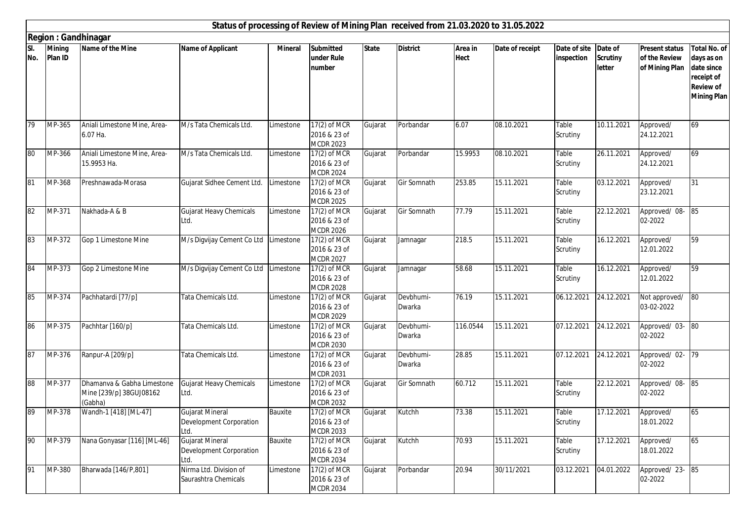|            |                          |                                                                  |                                                                  |                |                                                    |              |                     |                        | Status of processing of Review of Mining Plan received from 21.03.2020 to 31.05.2022 |                            |                                      |                                                          |                                                                                                         |
|------------|--------------------------|------------------------------------------------------------------|------------------------------------------------------------------|----------------|----------------------------------------------------|--------------|---------------------|------------------------|--------------------------------------------------------------------------------------|----------------------------|--------------------------------------|----------------------------------------------------------|---------------------------------------------------------------------------------------------------------|
|            |                          | <b>Region: Gandhinagar</b>                                       |                                                                  |                |                                                    |              |                     |                        |                                                                                      |                            |                                      |                                                          |                                                                                                         |
| SI.<br>No. | <b>Mining</b><br>Plan ID | Name of the Mine                                                 | <b>Name of Applicant</b>                                         | <b>Mineral</b> | <b>Submitted</b><br>under Rule<br>number           | <b>State</b> | <b>District</b>     | Area in<br><b>Hect</b> | Date of receipt                                                                      | Date of site<br>inspection | Date of<br><b>Scrutiny</b><br>letter | <b>Present status</b><br>of the Review<br>of Mining Plan | <b>Total No. of</b><br>days as on<br>date since<br>receipt of<br><b>Review of</b><br><b>Mining Plan</b> |
| 79         | MP-365                   | Aniali Limestone Mine, Area-<br>6.07 Ha.                         | M/s Tata Chemicals Ltd.                                          | Limestone      | 17(2) of MCR<br>2016 & 23 of<br>MCDR 2023          | Gujarat      | Porbandar           | 6.07                   | 08.10.2021                                                                           | Table<br>Scrutiny          | 10.11.2021                           | Approved/<br>24.12.2021                                  | 69                                                                                                      |
| 80         | MP-366                   | Aniali Limestone Mine, Area-<br>15.9953 Ha.                      | M/s Tata Chemicals Ltd.                                          | Limestone      | 17(2) of MCR<br>2016 & 23 of<br><b>MCDR 2024</b>   | Gujarat      | Porbandar           | 15.9953                | 08.10.2021                                                                           | Table<br>Scrutiny          | 26.11.2021                           | Approved/<br>24.12.2021                                  | 69                                                                                                      |
| 81         | MP-368                   | Preshnawada-Morasa                                               | Gujarat Sidhee Cement Ltd.                                       | Limestone      | 17(2) of MCR<br>2016 & 23 of<br><b>MCDR 2025</b>   | Gujarat      | Gir Somnath         | 253.85                 | 15.11.2021                                                                           | Table<br>Scrutiny          | 03.12.2021                           | Approved/<br>23.12.2021                                  | 31                                                                                                      |
| 82         | MP-371                   | Nakhada-A & B                                                    | <b>Gujarat Heavy Chemicals</b><br>Ltd.                           | Limestone      | 17(2) of MCR<br>2016 & 23 of<br><b>MCDR 2026</b>   | Gujarat      | <b>Gir Somnath</b>  | 77.79                  | 15.11.2021                                                                           | Table<br>Scrutiny          | 22.12.2021                           | Approved/08-85<br>02-2022                                |                                                                                                         |
| 83         | MP-372                   | Gop 1 Limestone Mine                                             | M/s Digvijay Cement Co Ltd Limestone                             |                | $17(2)$ of MCR<br>2016 & 23 of<br><b>MCDR 2027</b> | Gujarat      | Jamnagar            | 218.5                  | 15.11.2021                                                                           | Table<br>Scrutiny          | 16.12.2021                           | Approved/<br>12.01.2022                                  | 59                                                                                                      |
| 84         | MP-373                   | Gop 2 Limestone Mine                                             | M/s Digvijay Cement Co Ltd Limestone                             |                | 17(2) of MCR<br>2016 & 23 of<br><b>MCDR 2028</b>   | Gujarat      | Jamnagar            | 58.68                  | 15.11.2021                                                                           | Table<br>Scrutiny          | 16.12.2021                           | Approved/<br>12.01.2022                                  | 59                                                                                                      |
| 85         | MP-374                   | Pachhatardi [77/p]                                               | Tata Chemicals Ltd.                                              | Limestone      | 17(2) of MCR<br>2016 & 23 of<br><b>MCDR 2029</b>   | Gujarat      | Devbhumi-<br>Dwarka | 76.19                  | 15.11.2021                                                                           | 06.12.2021                 | 24.12.2021                           | Not approved/<br>03-02-2022                              | 80                                                                                                      |
| 86         | MP-375                   | Pachhtar [160/p]                                                 | Tata Chemicals Ltd.                                              | Limestone      | 17(2) of MCR<br>2016 & 23 of<br><b>MCDR 2030</b>   | Gujarat      | Devbhumi-<br>Dwarka | 116.0544               | 15.11.2021                                                                           | 07.12.2021                 | 24.12.2021                           | Approved/ 03-<br>02-2022                                 | 80                                                                                                      |
| 87         | MP-376                   | Ranpur-A [209/p]                                                 | Tata Chemicals Ltd.                                              | Limestone      | 17(2) of MCR<br>2016 & 23 of<br><b>MCDR 2031</b>   | Gujarat      | Devbhumi-<br>Dwarka | 28.85                  | 15.11.2021                                                                           | 07.12.2021                 | 24.12.2021                           | Approved/02-<br>02-2022                                  | $\overline{79}$                                                                                         |
| 88         | MP-377                   | Dhamanva & Gabha Limestone<br>Mine [239/p] 38GUJ08162<br>(Gabha) | Gujarat Heavy Chemicals<br>Ltd.                                  | Limestone      | 17(2) of MCR<br>2016 & 23 of<br><b>MCDR 2032</b>   | Gujarat      | Gir Somnath         | 60.712                 | 15.11.2021                                                                           | Table<br>Scrutiny          | 22.12.2021                           | Approved/ 08-<br>02-2022                                 | 85                                                                                                      |
| 89         | MP-378                   | Wandh-1 [418] [ML-47]                                            | <b>Gujarat Mineral</b><br><b>Development Corporation</b><br>Ltd. | Bauxite        | 17(2) of MCR<br>2016 & 23 of<br><b>MCDR 2033</b>   | Gujarat      | Kutchh              | 73.38                  | 15.11.2021                                                                           | Table<br>Scrutiny          | 17.12.2021                           | Approved/<br>18.01.2022                                  | 65                                                                                                      |
| 90         | MP-379                   | Nana Gonyasar [116] [ML-46]                                      | Gujarat Mineral<br>Development Corporation<br>Ltd.               | Bauxite        | 17(2) of MCR<br>2016 & 23 of<br><b>MCDR 2034</b>   | Gujarat      | Kutchh              | 70.93                  | 15.11.2021                                                                           | Table<br>Scrutiny          | 17.12.2021                           | Approved/<br>18.01.2022                                  | 65                                                                                                      |
| 91         | MP-380                   | Bharwada [146/P,801]                                             | Nirma Ltd. Division of<br>Saurashtra Chemicals                   | Limestone      | 17(2) of MCR<br>2016 & 23 of<br><b>MCDR 2034</b>   | Gujarat      | Porbandar           | 20.94                  | 30/11/2021                                                                           | 03.12.2021                 | 04.01.2022                           | Approved/23-85<br>02-2022                                |                                                                                                         |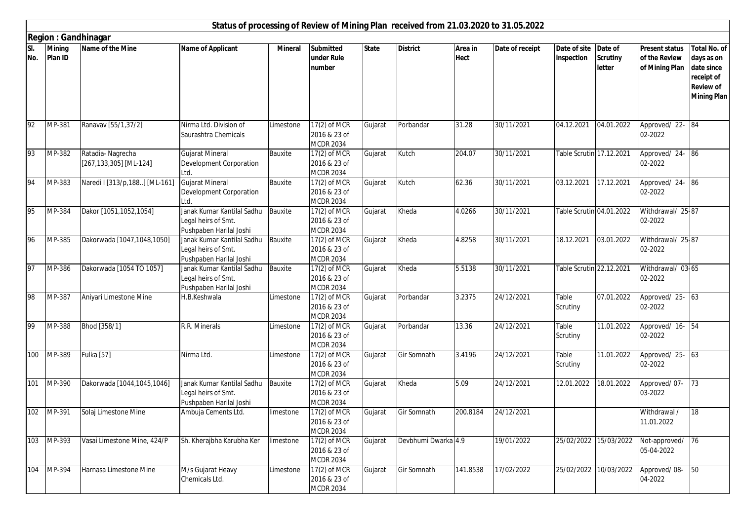|            |                          |                                            |                                                                              |                |                                                    |              | Status of processing of Review of Mining Plan received from 21.03.2020 to 31.05.2022 |                        |                 |                            |                                      |                                                          |                                                                                                         |
|------------|--------------------------|--------------------------------------------|------------------------------------------------------------------------------|----------------|----------------------------------------------------|--------------|--------------------------------------------------------------------------------------|------------------------|-----------------|----------------------------|--------------------------------------|----------------------------------------------------------|---------------------------------------------------------------------------------------------------------|
|            |                          | <b>Region: Gandhinagar</b>                 |                                                                              |                |                                                    |              |                                                                                      |                        |                 |                            |                                      |                                                          |                                                                                                         |
| SI.<br>No. | <b>Mining</b><br>Plan ID | Name of the Mine                           | <b>Name of Applicant</b>                                                     | <b>Mineral</b> | <b>Submitted</b><br>under Rule<br>number           | <b>State</b> | <b>District</b>                                                                      | Area in<br><b>Hect</b> | Date of receipt | Date of site<br>inspection | Date of<br><b>Scrutiny</b><br>letter | <b>Present status</b><br>of the Review<br>of Mining Plan | <b>Total No. of</b><br>days as on<br>date since<br>receipt of<br><b>Review of</b><br><b>Mining Plan</b> |
| 92         | MP-381                   | Ranavav [55/1,37/2]                        | Nirma Ltd. Division of<br>Saurashtra Chemicals                               | Limestone      | $17(2)$ of MCR<br>2016 & 23 of<br><b>MCDR 2034</b> | Gujarat      | Porbandar                                                                            | 31.28                  | 30/11/2021      | 04.12.2021                 | 04.01.2022                           | Approved/22-84<br>02-2022                                |                                                                                                         |
| 93         | MP-382                   | Ratadia-Nagrecha<br>[267,133,305] [ML-124] | <b>Gujarat Mineral</b><br><b>Development Corporation</b><br>Ltd.             | Bauxite        | 17(2) of MCR<br>2016 & 23 of<br><b>MCDR 2034</b>   | Gujarat      | Kutch                                                                                | 204.07                 | 30/11/2021      | Table Scrutin 17.12.2021   |                                      | Approved/ 24-86<br>02-2022                               |                                                                                                         |
| 94         | MP-383                   | Naredi I [313/p, 188] [ML-161]             | <b>Gujarat Mineral</b><br>Development Corporation<br>Ltd.                    | Bauxite        | 17(2) of MCR<br>2016 & 23 of<br><b>MCDR 2034</b>   | Gujarat      | Kutch                                                                                | 62.36                  | 30/11/2021      | 03.12.2021                 | 17.12.2021                           | Approved/ 24-86<br>02-2022                               |                                                                                                         |
| 95         | MP-384                   | Dakor [1051,1052,1054]                     | Janak Kumar Kantilal Sadhu<br>Legal heirs of Smt.<br>Pushpaben Harilal Joshi | Bauxite        | 17(2) of MCR<br>2016 & 23 of<br><b>MCDR 2034</b>   | Gujarat      | Kheda                                                                                | 4.0266                 | 30/11/2021      | Table Scrutin 04.01.2022   |                                      | Withdrawal/ 25-87<br>02-2022                             |                                                                                                         |
| 96         | MP-385                   | Dakorwada [1047,1048,1050]                 | Janak Kumar Kantilal Sadhu<br>Legal heirs of Smt.<br>Pushpaben Harilal Joshi | Bauxite        | 17(2) of MCR<br>2016 & 23 of<br><b>MCDR 2034</b>   | Gujarat      | Kheda                                                                                | 4.8258                 | 30/11/2021      | 18.12.2021                 | 03.01.2022                           | Withdrawal/ 25-87<br>02-2022                             |                                                                                                         |
| 97         | MP-386                   | Dakorwada [1054 TO 1057]                   | Janak Kumar Kantilal Sadhu<br>Legal heirs of Smt.<br>Pushpaben Harilal Joshi | Bauxite        | 17(2) of MCR<br>2016 & 23 of<br><b>MCDR 2034</b>   | Gujarat      | Kheda                                                                                | 5.5138                 | 30/11/2021      | Table Scrutin 22.12.2021   |                                      | Withdrawal/ 03-65<br>02-2022                             |                                                                                                         |
| 98         | MP-387                   | Aniyari Limestone Mine                     | H.B.Keshwala                                                                 | Limestone      | 17(2) of MCR<br>2016 & 23 of<br><b>MCDR 2034</b>   | Gujarat      | Porbandar                                                                            | 3.2375                 | 24/12/2021      | Table<br>Scrutiny          | 07.01.2022                           | Approved/ 25- 63<br>02-2022                              |                                                                                                         |
| 99         | MP-388                   | Bhod [358/1]                               | R.R. Minerals                                                                | Limestone      | 17(2) of MCR<br>2016 & 23 of<br><b>MCDR 2034</b>   | Gujarat      | Porbandar                                                                            | 13.36                  | 24/12/2021      | Table<br>Scrutiny          | 11.01.2022                           | Approved/ 16- 54<br>02-2022                              |                                                                                                         |
| 100        | MP-389                   | <b>Fulka</b> [57]                          | Nirma Ltd.                                                                   | Limestone      | 17(2) of MCR<br>2016 & 23 of<br><b>MCDR 2034</b>   | Gujarat      | Gir Somnath                                                                          | 3.4196                 | 24/12/2021      | Table<br>Scrutiny          | 11.01.2022                           | Approved/ 25-63<br>02-2022                               |                                                                                                         |
| 101        | MP-390                   | Dakorwada [1044,1045,1046]                 | Janak Kumar Kantilal Sadhu<br>Legal heirs of Smt.<br>Pushpaben Harilal Joshi | Bauxite        | 17(2) of MCR<br>2016 & 23 of<br><b>MCDR 2034</b>   | Gujarat      | Kheda                                                                                | 5.09                   | 24/12/2021      | 12.01.2022                 | 18.01.2022                           | Approved/07-<br>03-2022                                  | 73                                                                                                      |
| 102        | MP-391                   | Solaj Limestone Mine                       | Ambuja Cements Ltd.                                                          | limestone      | 17(2) of MCR<br>2016 & 23 of<br><b>MCDR 2034</b>   | Gujarat      | Gir Somnath                                                                          | 200.8184               | 24/12/2021      |                            |                                      | Withdrawal /<br>11.01.2022                               | 18                                                                                                      |
| 103        | MP-393                   | Vasai Limestone Mine, 424/P                | Sh. Kherajbha Karubha Ker                                                    | limestone      | 17(2) of MCR<br>2016 & 23 of<br><b>MCDR 2034</b>   | Gujarat      | Devbhumi Dwarka 4.9                                                                  |                        | 19/01/2022      |                            | 25/02/2022 15/03/2022                | Not-approved/ 76<br>05-04-2022                           |                                                                                                         |
| 104        | MP-394                   | Harnasa Limestone Mine                     | M/s Gujarat Heavy<br>Chemicals Ltd.                                          | Limestone      | 17(2) of MCR<br>2016 & 23 of<br><b>MCDR 2034</b>   | Gujarat      | Gir Somnath                                                                          | 141.8538               | 17/02/2022      |                            | 25/02/2022 10/03/2022                | Approved/08-<br>04-2022                                  | 50                                                                                                      |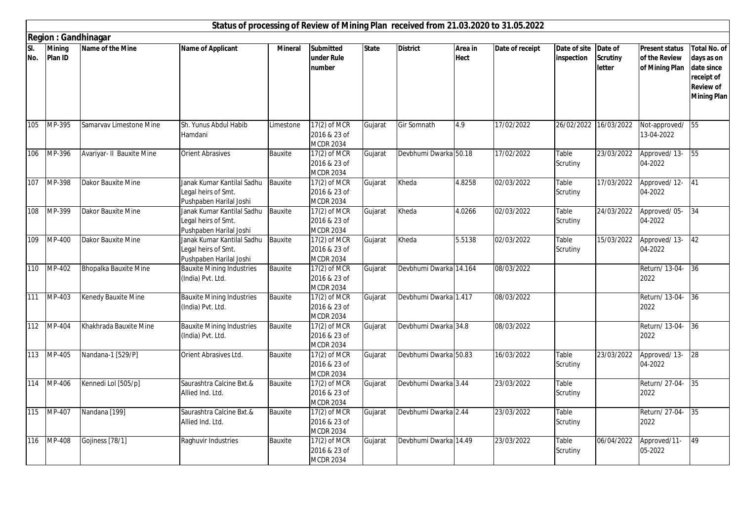|            |                   |                            |                                                                              |                |                                                    |              | Status of processing of Review of Mining Plan received from 21.03.2020 to 31.05.2022 |                        |                 |                            |                                             |                                                          |                                                                                                         |
|------------|-------------------|----------------------------|------------------------------------------------------------------------------|----------------|----------------------------------------------------|--------------|--------------------------------------------------------------------------------------|------------------------|-----------------|----------------------------|---------------------------------------------|----------------------------------------------------------|---------------------------------------------------------------------------------------------------------|
|            |                   | <b>Region: Gandhinagar</b> |                                                                              |                |                                                    |              |                                                                                      |                        |                 |                            |                                             |                                                          |                                                                                                         |
| SI.<br>No. | Mining<br>Plan ID | Name of the Mine           | <b>Name of Applicant</b>                                                     | <b>Mineral</b> | <b>Submitted</b><br>under Rule<br>number           | <b>State</b> | <b>District</b>                                                                      | Area in<br><b>Hect</b> | Date of receipt | Date of site<br>inspection | Date of<br><b>Scrutiny</b><br><b>letter</b> | <b>Present status</b><br>of the Review<br>of Mining Plan | <b>Total No. of</b><br>days as on<br>date since<br>receipt of<br><b>Review of</b><br><b>Mining Plan</b> |
|            |                   |                            |                                                                              |                |                                                    |              |                                                                                      |                        |                 |                            |                                             |                                                          |                                                                                                         |
| 105        | MP-395            | Samarvav Limestone Mine    | Sh. Yunus Abdul Habib<br>Hamdani                                             | Limestone      | 17(2) of MCR<br>2016 & 23 of<br><b>MCDR 2034</b>   | Gujarat      | <b>Gir Somnath</b>                                                                   | 4.9                    | 17/02/2022      | 26/02/2022                 | 16/03/2022                                  | Not-approved/ 55<br>13-04-2022                           |                                                                                                         |
| 106        | MP-396            | Avariyar- II Bauxite Mine  | Orient Abrasives                                                             | Bauxite        | $17(2)$ of MCR<br>2016 & 23 of<br><b>MCDR 2034</b> | Gujarat      | Devbhumi Dwarka 50.18                                                                |                        | 17/02/2022      | Table<br>Scrutiny          | 23/03/2022                                  | Approved/13-<br>04-2022                                  | 55                                                                                                      |
| 107        | MP-398            | Dakor Bauxite Mine         | Janak Kumar Kantilal Sadhu<br>Legal heirs of Smt.<br>Pushpaben Harilal Joshi | Bauxite        | 17(2) of MCR<br>2016 & 23 of<br><b>MCDR 2034</b>   | Gujarat      | Kheda                                                                                | 4.8258                 | 02/03/2022      | Table<br>Scrutiny          | 17/03/2022                                  | Approved/12-<br>04-2022                                  | 41                                                                                                      |
| 108        | MP-399            | Dakor Bauxite Mine         | Janak Kumar Kantilal Sadhu<br>Legal heirs of Smt.<br>Pushpaben Harilal Joshi | Bauxite        | $17(2)$ of MCR<br>2016 & 23 of<br><b>MCDR 2034</b> | Gujarat      | Kheda                                                                                | 4.0266                 | 02/03/2022      | Table<br>Scrutiny          | 24/03/2022                                  | Approved/05-<br>04-2022                                  | 34                                                                                                      |
| 109        | MP-400            | Dakor Bauxite Mine         | Janak Kumar Kantilal Sadhu<br>Legal heirs of Smt.<br>Pushpaben Harilal Joshi | Bauxite        | $17(2)$ of MCR<br>2016 & 23 of<br><b>MCDR 2034</b> | Gujarat      | Kheda                                                                                | 5.5138                 | 02/03/2022      | Table<br>Scrutiny          | 15/03/2022                                  | Approved/13-<br>04-2022                                  | 42                                                                                                      |
| 110        | MP-402            | Bhopalka Bauxite Mine      | <b>Bauxite Mining Industries</b><br>(India) Pvt. Ltd.                        | Bauxite        | 17(2) of MCR<br>2016 & 23 of<br><b>MCDR 2034</b>   | Gujarat      | Devbhumi Dwarka 14.164                                                               |                        | 08/03/2022      |                            |                                             | Return/ 13-04-<br>2022                                   | 36                                                                                                      |
| 111        | MP-403            | Kenedy Bauxite Mine        | <b>Bauxite Mining Industries</b><br>(India) Pvt. Ltd.                        | Bauxite        | 17(2) of MCR<br>2016 & 23 of<br><b>MCDR 2034</b>   | Gujarat      | Devbhumi Dwarka 1.417                                                                |                        | 08/03/2022      |                            |                                             | Return/ 13-04-<br>2022                                   | 36                                                                                                      |
| 112        | MP-404            | Khakhrada Bauxite Mine     | <b>Bauxite Mining Industries</b><br>(India) Pvt. Ltd.                        | Bauxite        | 17(2) of MCR<br>2016 & 23 of<br><b>MCDR 2034</b>   | Gujarat      | Devbhumi Dwarka 34.8                                                                 |                        | 08/03/2022      |                            |                                             | Return/13-04- 36<br>2022                                 |                                                                                                         |
| 113        | MP-405            | Nandana-1 [529/P]          | Orient Abrasives Ltd.                                                        | Bauxite        | $17(2)$ of MCR<br>2016 & 23 of<br><b>MCDR 2034</b> | Gujarat      | Devbhumi Dwarka 50.83                                                                |                        | 16/03/2022      | Table<br>Scrutiny          | 23/03/2022                                  | Approved/13-<br>04-2022                                  | 28                                                                                                      |
| 114        | MP-406            | Kennedi Lol [505/p]        | Saurashtra Calcine Bxt.&<br>Allied Ind. Ltd.                                 | Bauxite        | 17(2) of MCR<br>2016 & 23 of<br><b>MCDR 2034</b>   | Gujarat      | Devbhumi Dwarka 3.44                                                                 |                        | 23/03/2022      | Table<br>Scrutiny          |                                             | Return/ 27-04-<br>2022                                   | 35                                                                                                      |
| 115        | MP-407            | Nandana [199]              | Saurashtra Calcine Bxt.&<br>Allied Ind. Ltd.                                 | Bauxite        | 17(2) of MCR<br>2016 & 23 of<br><b>MCDR 2034</b>   | Gujarat      | Devbhumi Dwarka 2.44                                                                 |                        | 23/03/2022      | Table<br>Scrutiny          |                                             | Return/ 27-04-<br>2022                                   | 35                                                                                                      |
| 116        | MP-408            | Gojiness [78/1]            | Raghuvir Industries                                                          | Bauxite        | 17(2) of MCR<br>2016 & 23 of<br><b>MCDR 2034</b>   | Gujarat      | Devbhumi Dwarka 14.49                                                                |                        | 23/03/2022      | Table<br>Scrutiny          | 06/04/2022                                  | Approved/11-<br>05-2022                                  | 49                                                                                                      |